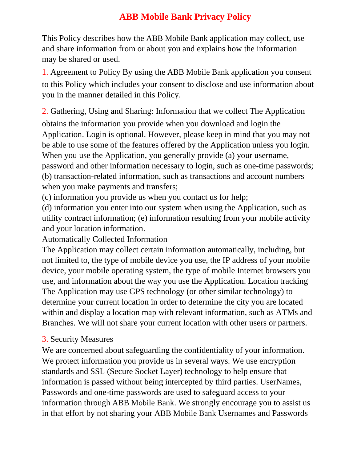## **ABB Mobile Bank Privacy Policy**

This Policy describes how the ABB Mobile Bank application may collect, use and share information from or about you and explains how the information may be shared or used.

1. Agreement to Policy By using the ABB Mobile Bank application you consent to this Policy which includes your consent to disclose and use information about you in the manner detailed in this Policy.

2. Gathering, Using and Sharing: Information that we collect The Application obtains the information you provide when you download and login the Application. Login is optional. However, please keep in mind that you may not be able to use some of the features offered by the Application unless you login. When you use the Application, you generally provide (a) your username, password and other information necessary to login, such as one-time passwords; (b) transaction-related information, such as transactions and account numbers when you make payments and transfers;

(c) information you provide us when you contact us for help;

(d) information you enter into our system when using the Application, such as utility contract information; (e) information resulting from your mobile activity and your location information.

Automatically Collected Information

The Application may collect certain information automatically, including, but not limited to, the type of mobile device you use, the IP address of your mobile device, your mobile operating system, the type of mobile Internet browsers you use, and information about the way you use the Application. Location tracking The Application may use GPS technology (or other similar technology) to determine your current location in order to determine the city you are located within and display a location map with relevant information, such as ATMs and Branches. We will not share your current location with other users or partners.

## 3. Security Measures

We are concerned about safeguarding the confidentiality of your information. We protect information you provide us in several ways. We use encryption standards and SSL (Secure Socket Layer) technology to help ensure that information is passed without being intercepted by third parties. UserNames, Passwords and one-time passwords are used to safeguard access to your information through ABB Mobile Bank. We strongly encourage you to assist us in that effort by not sharing your ABB Mobile Bank Usernames and Passwords